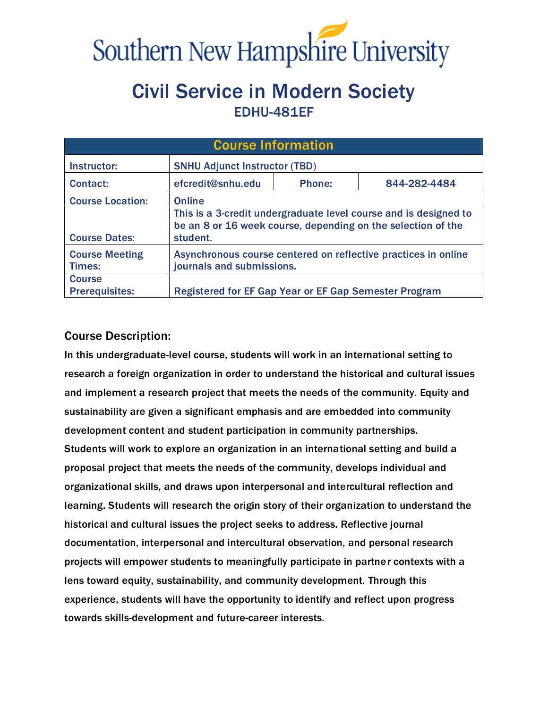

# Civil Service in Modern Society EDHU-481EF

| <b>Course Information</b>              |                                                                                                                                              |        |              |  |  |
|----------------------------------------|----------------------------------------------------------------------------------------------------------------------------------------------|--------|--------------|--|--|
| Instructor:                            | <b>SNHU Adjunct Instructor (TBD)</b>                                                                                                         |        |              |  |  |
| Contact:                               | efcredit@snhu.edu                                                                                                                            | Phone: | 844-282-4484 |  |  |
| <b>Course Location:</b>                | <b>Online</b>                                                                                                                                |        |              |  |  |
| <b>Course Dates:</b>                   | This is a 3-credit undergraduate level course and is designed to<br>be an 8 or 16 week course, depending on the selection of the<br>student. |        |              |  |  |
| <b>Course Meeting</b><br>Times:        | Asynchronous course centered on reflective practices in online<br>journals and submissions.                                                  |        |              |  |  |
| <b>Course</b><br><b>Prerequisites:</b> | Registered for EF Gap Year or EF Gap Semester Program                                                                                        |        |              |  |  |

## Course Description:

In this undergraduate-level course, students will work in an international setting to research a foreign organization in order to understand the historical and cultural issues and implement a research project that meets the needs of the community. Equity and sustainability are given a significant emphasis and are embedded into community development content and student participation in community partnerships. Students will work to explore an organization in an international setting and build a proposal project that meets the needs of the community, develops individual and organizational skills, and draws upon interpersonal and intercultural reflection and learning. Students will research the origin story of their organization to understand the historical and cultural issues the project seeks to address. Reflective journal documentation, interpersonal and intercultural observation, and personal research projects will empower students to meaningfully participate in partner contexts with a lens toward equity, sustainability, and community development. Through this experience, students will have the opportunity to identify and reflect upon progress towards skills-development and future-career interests.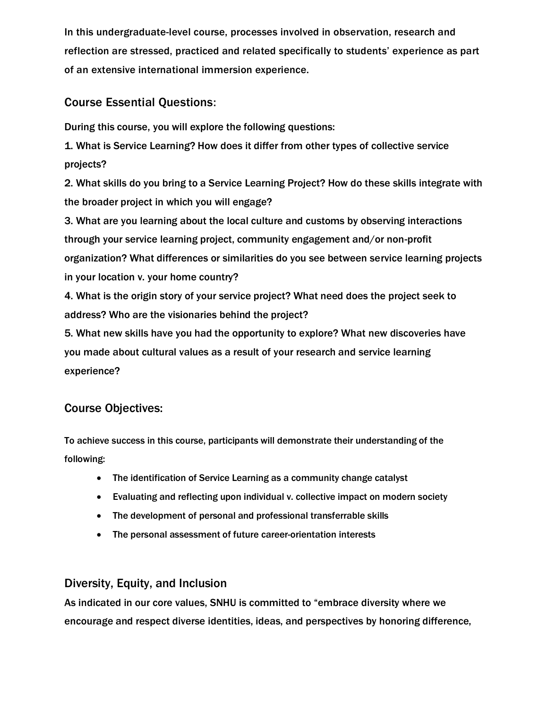In this undergraduate-level course, processes involved in observation, research and reflection are stressed, practiced and related specifically to students' experience as part of an extensive international immersion experience.

## Course Essential Questions:

During this course, you will explore the following questions:

1. What is Service Learning? How does it differ from other types of collective service projects?

2. What skills do you bring to a Service Learning Project? How do these skills integrate with the broader project in which you will engage?

3. What are you learning about the local culture and customs by observing interactions through your service learning project, community engagement and/or non-profit organization? What differences or similarities do you see between service learning projects in your location v. your home country?

4. What is the origin story of your service project? What need does the project seek to address? Who are the visionaries behind the project?

5. What new skills have you had the opportunity to explore? What new discoveries have you made about cultural values as a result of your research and service learning experience?

## Course Objectives:

To achieve success in this course, participants will demonstrate their understanding of the following:

- The identification of Service Learning as a community change catalyst
- Evaluating and reflecting upon individual v. collective impact on modern society
- The development of personal and professional transferrable skills
- The personal assessment of future career-orientation interests

#### Diversity, Equity, and Inclusion

As indicated in our core values, SNHU is committed to "embrace diversity where we encourage and respect diverse identities, ideas, and perspectives by honoring difference,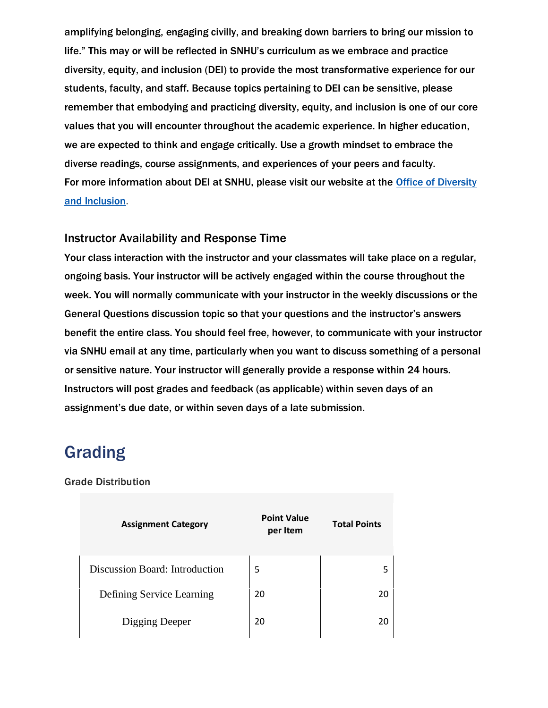amplifying belonging, engaging civilly, and breaking down barriers to bring our mission to life." This may or will be reflected in SNHU's curriculum as we embrace and practice diversity, equity, and inclusion (DEI) to provide the most transformative experience for our students, faculty, and staff. Because topics pertaining to DEI can be sensitive, please remember that embodying and practicing diversity, equity, and inclusion is one of our core values that you will encounter throughout the academic experience. In higher education, we are expected to think and engage critically. Use a growth mindset to embrace the diverse readings, course assignments, and experiences of your peers and faculty. For more information about DEI at SNHU, please visit our website at the Office of Diversity [and Inclusion.](http://bit.ly/mysnhuDEI)

#### Instructor Availability and Response Time

Your class interaction with the instructor and your classmates will take place on a regular, ongoing basis. Your instructor will be actively engaged within the course throughout the week. You will normally communicate with your instructor in the weekly discussions or the General Questions discussion topic so that your questions and the instructor's answers benefit the entire class. You should feel free, however, to communicate with your instructor via SNHU email at any time, particularly when you want to discuss something of a personal or sensitive nature. Your instructor will generally provide a response within 24 hours. Instructors will post grades and feedback (as applicable) within seven days of an assignment's due date, or within seven days of a late submission.

## Grading

#### Grade Distribution

| <b>Assignment Category</b>     | <b>Point Value</b><br>per Item | <b>Total Points</b> |
|--------------------------------|--------------------------------|---------------------|
| Discussion Board: Introduction | 5                              |                     |
| Defining Service Learning      | 20                             | 20                  |
| Digging Deeper                 | 20                             | 20                  |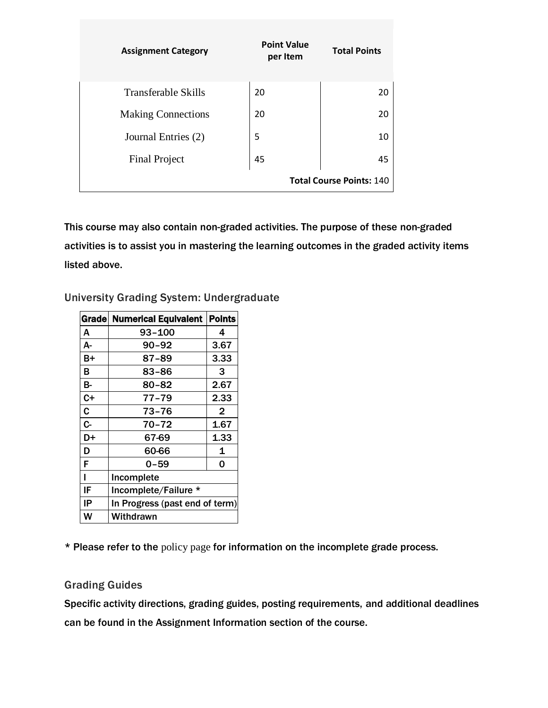| <b>Assignment Category</b> | <b>Point Value</b><br>per Item | <b>Total Points</b>             |
|----------------------------|--------------------------------|---------------------------------|
| <b>Transferable Skills</b> | 20                             | 20                              |
| <b>Making Connections</b>  | 20                             | 20                              |
| Journal Entries (2)        | 5                              | 10                              |
| <b>Final Project</b>       | 45                             | 45                              |
|                            |                                | <b>Total Course Points: 140</b> |

This course may also contain non-graded activities. The purpose of these non-graded activities is to assist you in mastering the learning outcomes in the graded activity items listed above.

#### University Grading System: Undergraduate

|             | Grade Numerical Equivalent   Points |              |  |
|-------------|-------------------------------------|--------------|--|
| A           | 93-100                              | 4            |  |
| А-          | $90 - 92$                           | 3.67         |  |
| B+          | 87-89                               | 3.33         |  |
| В           | 83-86                               | 3            |  |
| B-          | $80 - 82$                           | 2.67         |  |
| $C+$        | 77–79                               | 2.33         |  |
| $\mathbf c$ | 73-76                               | $\mathbf{2}$ |  |
| $C -$       | 70-72                               | 1.67         |  |
| D+          | 67-69                               | 1.33         |  |
| D           | 60-66                               | 1            |  |
| F           | 0-59                                | 0            |  |
| ı           | Incomplete                          |              |  |
| IF          | Incomplete/Failure *                |              |  |
| ΙP          | In Progress (past end of term)      |              |  |
| W           | Withdrawn                           |              |  |

\* Please refer to the [policy page](https://www.snhu.edu/admission/academic-catalogs/coce-catalog#/policy/Bkl3xBE5W) for information on the incomplete grade process.

#### Grading Guides

Specific activity directions, grading guides, posting requirements, and additional deadlines can be found in the Assignment Information section of the course.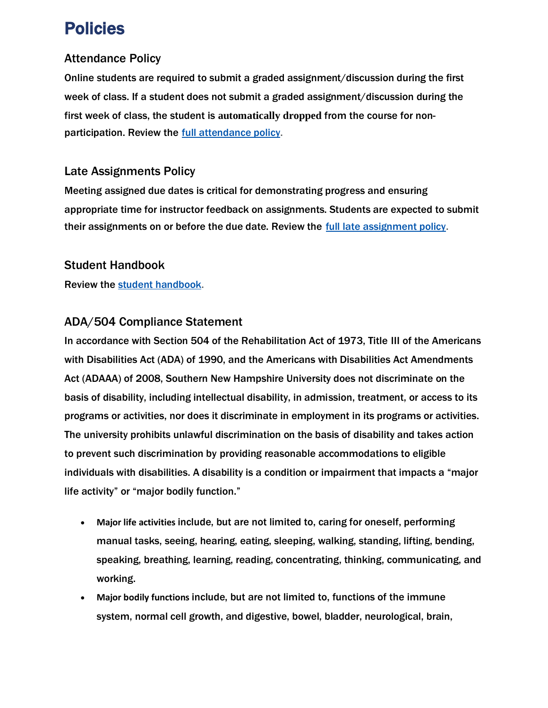# Policies

## Attendance Policy

Online students are required to submit a graded assignment/discussion during the first week of class. If a student does not submit a graded assignment/discussion during the first week of class, the student is **automatically dropped** from the course for nonparticipation. Review the [full attendance policy.](https://www.snhu.edu/admission/academic-catalogs/coce-catalog#/policy/HJQtAbV9-?bc=true&bcCurrent=Course%20Participation%20Requirement%20and%20Unearned%20F&bcGroup=Course%20and%20Program%20Enrollment&bcItemType=policies)

## Late Assignments Policy

Meeting assigned due dates is critical for demonstrating progress and ensuring appropriate time for instructor feedback on assignments. Students are expected to submit their assignments on or before the due date. Review the [full late assignment policy.](https://www.snhu.edu/admission/academic-catalogs/coce-catalog#/policy/H1VN-BN5W)

## Student Handbook

Review the [student handbook.](http://bit.ly/mySNHUhandbook)

## ADA/504 Compliance Statement

In accordance with Section 504 of the Rehabilitation Act of 1973, Title III of the Americans with Disabilities Act (ADA) of 1990, and the Americans with Disabilities Act Amendments Act (ADAAA) of 2008, Southern New Hampshire University does not discriminate on the basis of disability, including intellectual disability, in admission, treatment, or access to its programs or activities, nor does it discriminate in employment in its programs or activities. The university prohibits unlawful discrimination on the basis of disability and takes action to prevent such discrimination by providing reasonable accommodations to eligible individuals with disabilities. A disability is a condition or impairment that impacts a "major life activity" or "major bodily function."

- **Major life activities** include, but are not limited to, caring for oneself, performing manual tasks, seeing, hearing, eating, sleeping, walking, standing, lifting, bending, speaking, breathing, learning, reading, concentrating, thinking, communicating, and working.
- **Major bodily functions** include, but are not limited to, functions of the immune system, normal cell growth, and digestive, bowel, bladder, neurological, brain,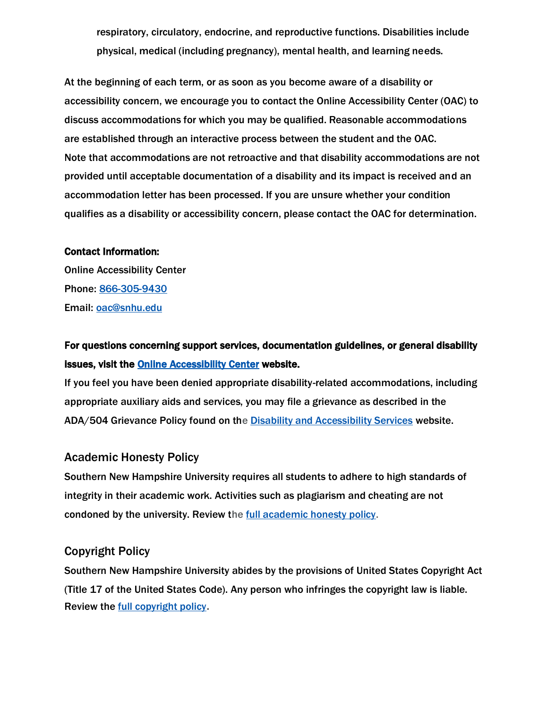respiratory, circulatory, endocrine, and reproductive functions. Disabilities include physical, medical (including pregnancy), mental health, and learning needs.

At the beginning of each term, or as soon as you become aware of a disability or accessibility concern, we encourage you to contact the Online Accessibility Center (OAC) to discuss accommodations for which you may be qualified. Reasonable accommodations are established through an interactive process between the student and the OAC. Note that accommodations are not retroactive and that disability accommodations are not provided until acceptable documentation of a disability and its impact is received and an accommodation letter has been processed. If you are unsure whether your condition qualifies as a disability or accessibility concern, please contact the OAC for determination.

#### Contact Information:

Online Accessibility Center Phone: [866-305-9430](tel:+18663059430) Email: [oac@snhu.edu](mailto:oac@snhu.edu)

## For questions concerning support services, documentation guidelines, or general disability issues, visit the [Online Accessibility Center](http://bit.ly/mysnhuOAC) website.

If you feel you have been denied appropriate disability-related accommodations, including appropriate auxiliary aids and services, you may file a grievance as described in the ADA/504 Grievance Policy found on the [Disability and Accessibility Services](https://www.snhu.edu/about-us/accessibility) website.

#### Academic Honesty Policy

Southern New Hampshire University requires all students to adhere to high standards of integrity in their academic work. Activities such as plagiarism and cheating are not condoned by the university. Review the [full academic honesty policy.](https://www.snhu.edu/admission/academic-catalogs/coce-catalog#/policy/Hk7DXnEcW)

#### Copyright Policy

Southern New Hampshire University abides by the provisions of United States Copyright Act (Title 17 of the United States Code). Any person who infringes the copyright law is liable. Review the [full copyright policy](https://www.snhu.edu/admission/academic-catalogs/coce-catalog#/policy/ryb-rh49Z).